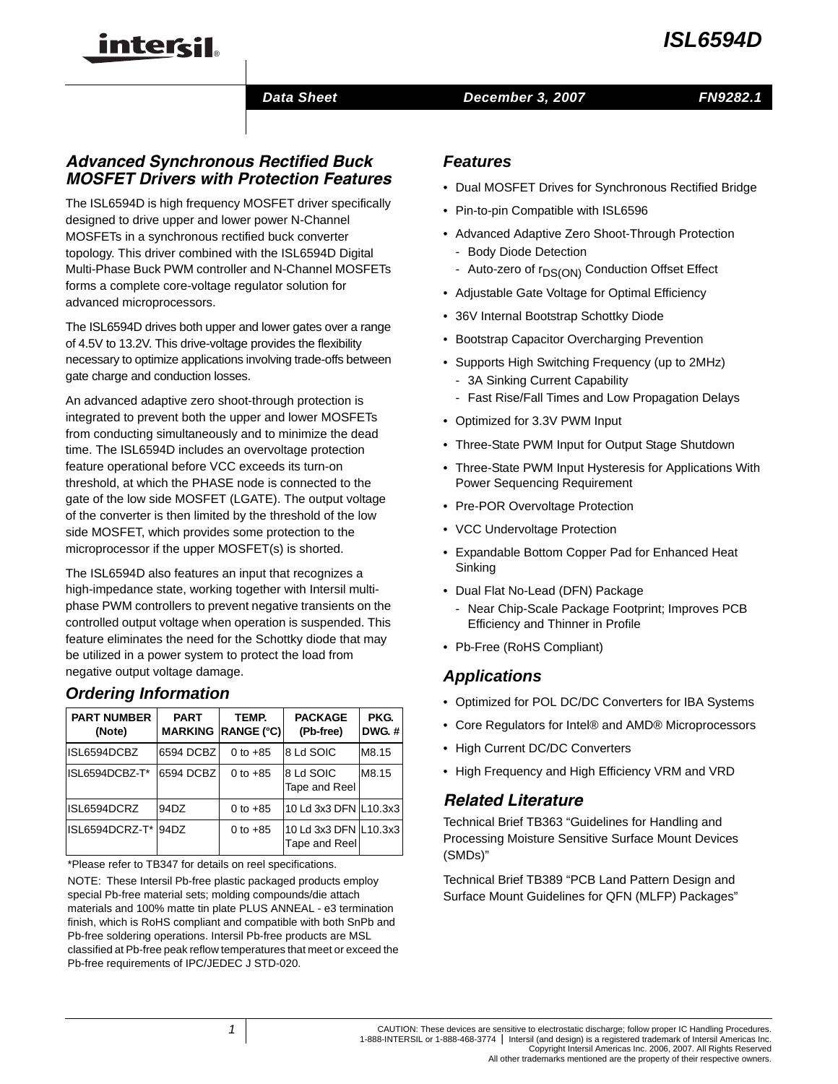# *ISL6594D*

#### *Data Sheet December 3, 2007*

# *FN9282.1*

# *Advanced Synchronous Rectified Buck MOSFET Drivers with Protection Features*

inter<del>cil</del>

The ISL6594D is high frequency MOSFET driver specifically designed to drive upper and lower power N-Channel MOSFETs in a synchronous rectified buck converter topology. This driver combined with the ISL6594D Digital Multi-Phase Buck PWM controller and N-Channel MOSFETs forms a complete core-voltage regulator solution for advanced microprocessors.

The ISL6594D drives both upper and lower gates over a range of 4.5V to 13.2V. This drive-voltage provides the flexibility necessary to optimize applications involving trade-offs between gate charge and conduction losses.

An advanced adaptive zero shoot-through protection is integrated to prevent both the upper and lower MOSFETs from conducting simultaneously and to minimize the dead time. The ISL6594D includes an overvoltage protection feature operational before VCC exceeds its turn-on threshold, at which the PHASE node is connected to the gate of the low side MOSFET (LGATE). The output voltage of the converter is then limited by the threshold of the low side MOSFET, which provides some protection to the microprocessor if the upper MOSFET(s) is shorted.

The ISL6594D also features an input that recognizes a high-impedance state, working together with Intersil multiphase PWM controllers to prevent negative transients on the controlled output voltage when operation is suspended. This feature eliminates the need for the Schottky diode that may be utilized in a power system to protect the load from negative output voltage damage.

# *Ordering Information*

| <b>PART NUMBER</b><br>(Note) | <b>PART</b><br><b>MARKING</b> | TEMP.<br><b>RANGE (°C)</b> | <b>PACKAGE</b><br>(Pb-free)            | PKG.<br><b>DWG.#</b> |
|------------------------------|-------------------------------|----------------------------|----------------------------------------|----------------------|
| ISL6594DCBZ                  | 6594 DCBZ                     | 0 to $+85$                 | 8 Ld SOIC                              | M8.15                |
| ISL6594DCBZ-T*               | 6594 DCBZ                     | 0 to $+85$                 | 8 Ld SOIC<br>Tape and Reel             | M8.15                |
| ISL6594DCRZ                  | 94DZ                          | 0 to $+85$                 | 10 Ld 3x3 DFN L10.3x3                  |                      |
| ISL6594DCRZ-T*               | 94DZ                          | 0 to $+85$                 | 10 Ld 3x3 DFN L10.3x3<br>Tape and Reel |                      |

[\\*Please refer to TB347 for details on reel specifications.](http://www.intersil.com/data/tb/tb347.pdf)

NOTE: These Intersil Pb-free plastic packaged products employ special Pb-free material sets; molding compounds/die attach materials and 100% matte tin plate PLUS ANNEAL - e3 termination finish, which is RoHS compliant and compatible with both SnPb and Pb-free soldering operations. Intersil Pb-free products are MSL classified at Pb-free peak reflow temperatures that meet or exceed the Pb-free requirements of IPC/JEDEC J STD-020.

### *Features*

- Dual MOSFET Drives for Synchronous Rectified Bridge
- Pin-to-pin Compatible with ISL6596
- Advanced Adaptive Zero Shoot-Through Protection
	- Body Diode Detection
	- Auto-zero of r<sub>DS(ON)</sub> Conduction Offset Effect
- Adjustable Gate Voltage for Optimal Efficiency
- 36V Internal Bootstrap Schottky Diode
- Bootstrap Capacitor Overcharging Prevention
- Supports High Switching Frequency (up to 2MHz)
	- 3A Sinking Current Capability
	- Fast Rise/Fall Times and Low Propagation Delays
- Optimized for 3.3V PWM Input
- Three-State PWM Input for Output Stage Shutdown
- Three-State PWM Input Hysteresis for Applications With Power Sequencing Requirement
- Pre-POR Overvoltage Protection
- VCC Undervoltage Protection
- Expandable Bottom Copper Pad for Enhanced Heat Sinking
- Dual Flat No-Lead (DFN) Package
	- Near Chip-Scale Package Footprint; Improves PCB Efficiency and Thinner in Profile
- Pb-Free (RoHS Compliant)

# *Applications*

- Optimized for POL DC/DC Converters for IBA Systems
- Core Regulators for Intel® and AMD® Microprocessors
- High Current DC/DC Converters
- High Frequency and High Efficiency VRM and VRD

# *Related Literature*

Technical Brief TB363 "Guidelines for Handling and Processing Moisture Sensitive Surface Mount Devices (SMDs)"

Technical Brief TB389 "PCB Land Pattern Design and Surface Mount Guidelines for QFN (MLFP) Packages"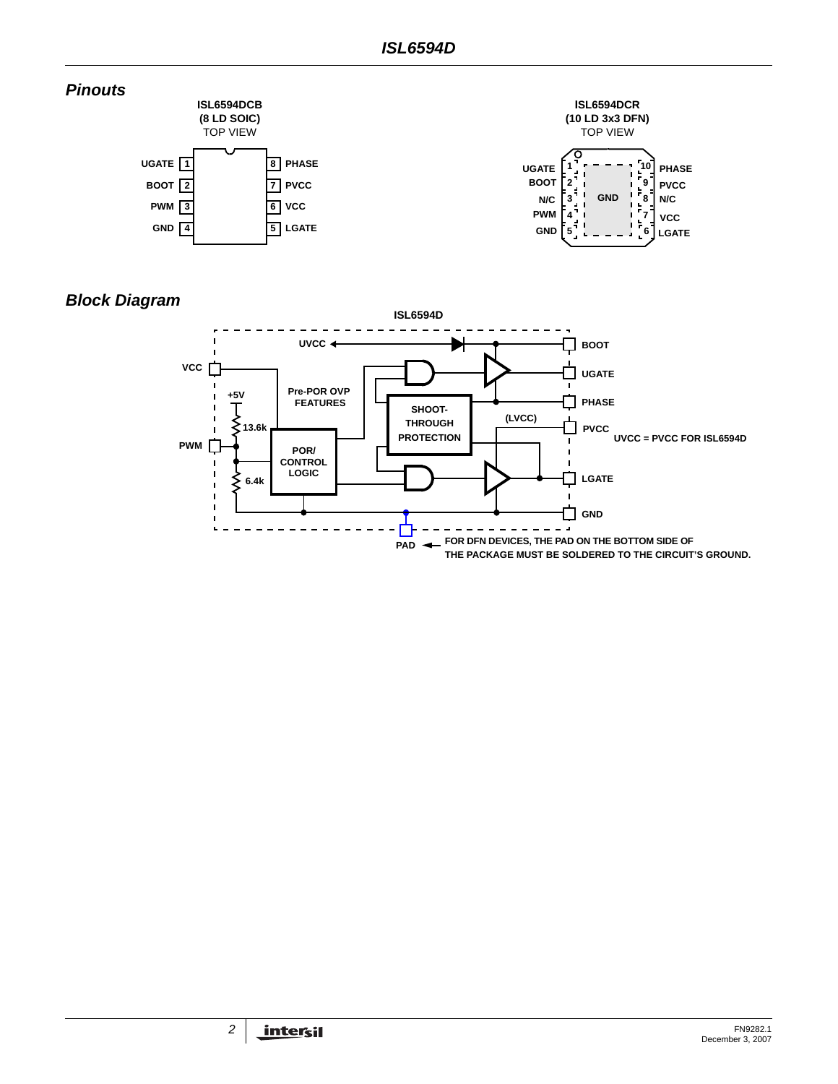

# *Block Diagram*

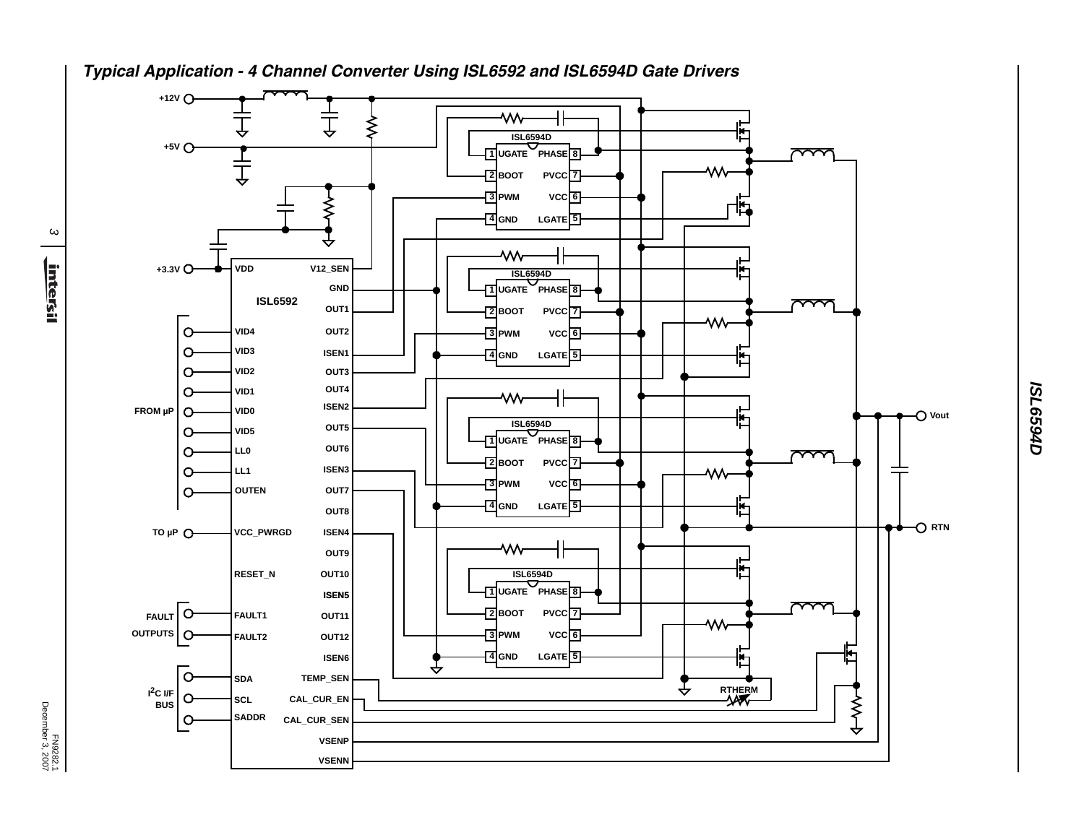

*Typical Application - 4 Channel Converter Using ISL6592 and ISL6594D Gate Drivers*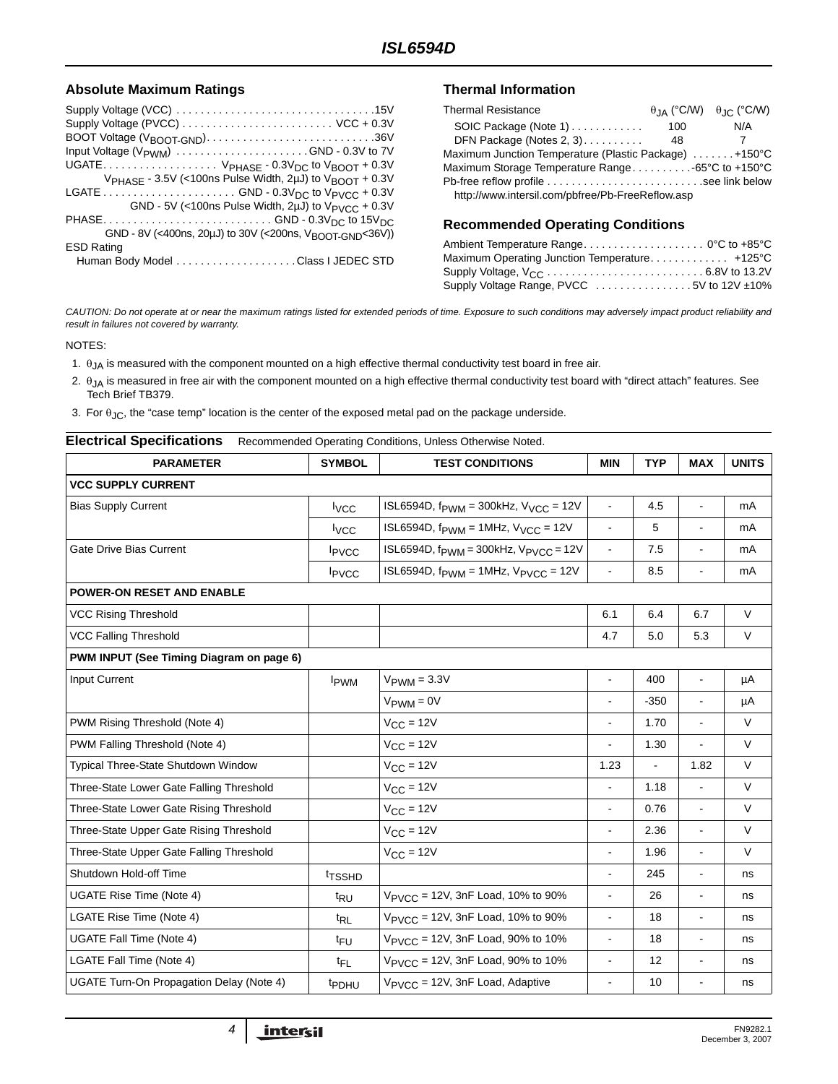#### Absolute Maximum Ratings **Thermal Information**

| Supply Voltage (PVCC)  VCC + 0.3V                                               |
|---------------------------------------------------------------------------------|
| BOOT Voltage (V <sub>BOOT</sub> -GND)36V                                        |
| Input Voltage (V <sub>PWM</sub> ) GND - 0.3V to 7V                              |
| UGATE $V_{PHASE}$ - 0.3 $V_{DC}$ to $V_{BOOT}$ + 0.3V                           |
| V <sub>PHASE</sub> - 3.5V (<100ns Pulse Width, 2uJ) to V <sub>BOOT</sub> + 0.3V |
|                                                                                 |
| GND - 5V (<100ns Pulse Width, 2µJ) to V <sub>PVCC</sub> + 0.3V                  |
|                                                                                 |
| GND - 8V (<400ns, 20µJ) to 30V (<200ns, V <sub>BOOT-GND</sub> <36V))            |
| <b>ESD Rating</b>                                                               |
|                                                                                 |

| <b>Thermal Resistance</b>                             |     | $\theta$ IA (°C/W) $\theta$ IC (°C/W) |
|-------------------------------------------------------|-----|---------------------------------------|
| SOIC Package (Note 1)                                 | 100 | N/A                                   |
| DFN Package (Notes 2, 3)                              | 48  |                                       |
| Maximum Junction Temperature (Plastic Package) +150°C |     |                                       |
| Maximum Storage Temperature Range65°C to +150°C       |     |                                       |
| Pb-free reflow profile see link below                 |     |                                       |
| http://www.intersil.com/pbfree/Pb-FreeReflow.asp      |     |                                       |

#### **Recommended Operating Conditions**

| Maximum Operating Junction Temperature +125°C |  |
|-----------------------------------------------|--|
|                                               |  |
| Supply Voltage Range, PVCC 5V to 12V ±10%     |  |

*CAUTION: Do not operate at or near the maximum ratings listed for extended periods of time. Exposure to such conditions may adversely impact product reliability and result in failures not covered by warranty.*

NOTES:

- <span id="page-3-0"></span>1.  $\theta_{JA}$  is measured with the component mounted on a high effective thermal conductivity test board in free air.
- <span id="page-3-1"></span>2.  $\theta_{JA}$  is measured in free air with the component mounted on a high effective thermal conductivity test board with "direct attach" features. See Tech Brief TB379.
- <span id="page-3-2"></span>3. For  $\theta_{JC}$ , the "case temp" location is the center of the exposed metal pad on the package underside.

<span id="page-3-3"></span>

| <b>Electrical Specifications</b><br>Recommended Operating Conditions, Unless Otherwise Noted. |                          |                                                               |                          |            |                          |              |  |  |  |
|-----------------------------------------------------------------------------------------------|--------------------------|---------------------------------------------------------------|--------------------------|------------|--------------------------|--------------|--|--|--|
| <b>PARAMETER</b>                                                                              | <b>SYMBOL</b>            | <b>TEST CONDITIONS</b>                                        | <b>MIN</b>               | <b>TYP</b> | <b>MAX</b>               | <b>UNITS</b> |  |  |  |
| <b>VCC SUPPLY CURRENT</b>                                                                     |                          |                                                               |                          |            |                          |              |  |  |  |
| <b>Bias Supply Current</b>                                                                    | <b>I</b> vcc             | ISL6594D, $f_{\text{PWM}} = 300$ kHz, $V_{\text{VCC}} = 12V$  | ÷,                       | 4.5        | ä,                       | mA           |  |  |  |
|                                                                                               | <b>I</b> <sub>vcc</sub>  | ISL6594D, $f_{\text{PWM}} = 1$ MHz, $V_{\text{VCC}} = 12V$    |                          | 5          |                          | mA           |  |  |  |
| <b>Gate Drive Bias Current</b>                                                                | <b>I</b> <sub>PVCC</sub> | ISL6594D, $f_{\text{PWM}} = 300$ kHz, $V_{\text{PVCC}} = 12V$ | $\overline{a}$           | 7.5        | ä,                       | mA           |  |  |  |
|                                                                                               | I <sub>PVCC</sub>        | ISL6594D, $f_{\text{PWM}} = 1$ MHz, $V_{\text{PVCC}} = 12V$   | $\overline{\phantom{a}}$ | 8.5        | ÷,                       | mA           |  |  |  |
| <b>POWER-ON RESET AND ENABLE</b>                                                              |                          |                                                               |                          |            |                          |              |  |  |  |
| <b>VCC Rising Threshold</b>                                                                   |                          |                                                               | 6.1                      | 6.4        | 6.7                      | $\vee$       |  |  |  |
| <b>VCC Falling Threshold</b>                                                                  |                          |                                                               | 4.7                      | 5.0        | 5.3                      | $\vee$       |  |  |  |
| PWM INPUT (See Timing Diagram on page 6)                                                      |                          |                                                               |                          |            |                          |              |  |  |  |
| <b>Input Current</b>                                                                          | <b>I</b> <sub>PWM</sub>  | $V_{\text{PWM}} = 3.3V$                                       |                          | 400        | ÷,                       | μA           |  |  |  |
|                                                                                               |                          | $V_{\text{PWM}} = 0V$                                         |                          | $-350$     | ä,                       | μA           |  |  |  |
| PWM Rising Threshold (Note 4)                                                                 |                          | $V_{CC}$ = 12V                                                | $\blacksquare$           | 1.70       | ä,                       | $\vee$       |  |  |  |
| PWM Falling Threshold (Note 4)                                                                |                          | $V_{CC}$ = 12V                                                |                          | 1.30       | ä,                       | $\vee$       |  |  |  |
| Typical Three-State Shutdown Window                                                           |                          | $V_{CC} = 12V$                                                | 1.23                     | ä,         | 1.82                     | $\vee$       |  |  |  |
| Three-State Lower Gate Falling Threshold                                                      |                          | $V_{CC} = 12V$                                                | ÷,                       | 1.18       | ÷,                       | $\vee$       |  |  |  |
| Three-State Lower Gate Rising Threshold                                                       |                          | $V_{CC} = 12V$                                                | $\overline{a}$           | 0.76       | $\blacksquare$           | $\vee$       |  |  |  |
| Three-State Upper Gate Rising Threshold                                                       |                          | $V_{CC} = 12V$                                                | ÷,                       | 2.36       | $\blacksquare$           | V            |  |  |  |
| Three-State Upper Gate Falling Threshold                                                      |                          | $V_{CC} = 12V$                                                | $\overline{a}$           | 1.96       | ÷,                       | $\vee$       |  |  |  |
| Shutdown Hold-off Time                                                                        | <sup>t</sup> TSSHD       |                                                               |                          | 245        | $\overline{\phantom{0}}$ | ns           |  |  |  |
| UGATE Rise Time (Note 4)                                                                      | t <sub>RU</sub>          | $V_{\text{PVCC}}$ = 12V, 3nF Load, 10% to 90%                 |                          | 26         | ä,                       | ns           |  |  |  |
| LGATE Rise Time (Note 4)                                                                      | t <sub>RL</sub>          | V <sub>PVCC</sub> = 12V, 3nF Load, 10% to 90%                 | $\overline{a}$           | 18         | $\blacksquare$           | ns           |  |  |  |
| UGATE Fall Time (Note 4)                                                                      | t <sub>FU</sub>          | V <sub>PVCC</sub> = 12V, 3nF Load, 90% to 10%                 | ÷,                       | 18         | $\blacksquare$           | ns           |  |  |  |
| LGATE Fall Time (Note 4)                                                                      | t <sub>FL</sub>          | V <sub>PVCC</sub> = 12V, 3nF Load, 90% to 10%                 | $\blacksquare$           | 12         | $\blacksquare$           | ns           |  |  |  |
| UGATE Turn-On Propagation Delay (Note 4)                                                      | <b>t</b> PDHU            | V <sub>PVCC</sub> = 12V, 3nF Load, Adaptive                   | ÷,                       | 10         | $\overline{\phantom{a}}$ | ns           |  |  |  |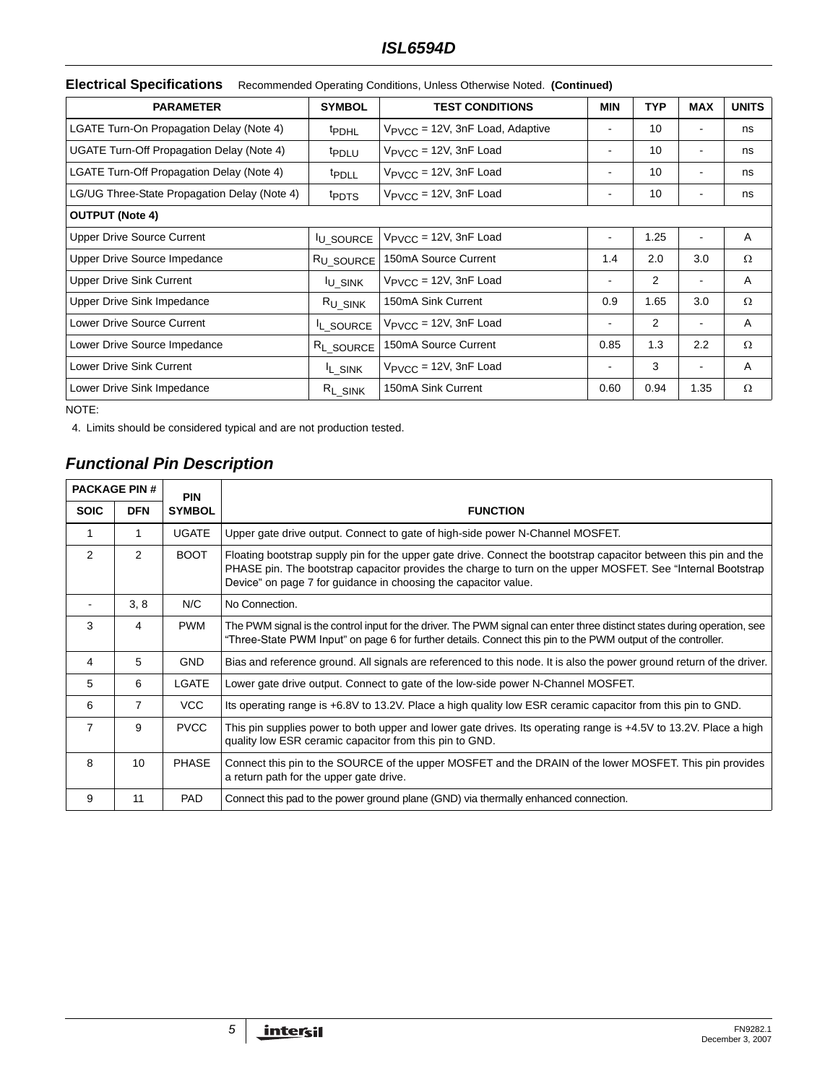|  | Electrical Specifications Recommended Operating Conditions, Unless Otherwise Noted. (Continued) |  |  |
|--|-------------------------------------------------------------------------------------------------|--|--|
|--|-------------------------------------------------------------------------------------------------|--|--|

| <b>PARAMETER</b>                             | <b>SYMBOL</b>         | <b>TEST CONDITIONS</b>                      | MIN                          | <b>TYP</b> | <b>MAX</b>       | <b>UNITS</b> |
|----------------------------------------------|-----------------------|---------------------------------------------|------------------------------|------------|------------------|--------------|
| LGATE Turn-On Propagation Delay (Note 4)     | <sup>t</sup> PDHL     | V <sub>PVCC</sub> = 12V, 3nF Load, Adaptive | $\blacksquare$               | 10         |                  | ns           |
| UGATE Turn-Off Propagation Delay (Note 4)    | <sup>t</sup> PDLU     | $V_{\text{PVCC}} = 12V$ , 3nF Load          | ۰                            | 10         | $\blacksquare$   | ns           |
| LGATE Turn-Off Propagation Delay (Note 4)    | <sup>t</sup> PDLL     | $V_{\text{PVCC}} = 12V$ , 3nF Load          | $\qquad \qquad \blacksquare$ | 10         |                  | ns           |
| LG/UG Three-State Propagation Delay (Note 4) | t <sub>PDTS</sub>     | $V_{\text{PVCC}} = 12V$ , 3nF Load          |                              | 10         |                  | ns           |
| <b>OUTPUT (Note 4)</b>                       |                       |                                             |                              |            |                  |              |
| <b>Upper Drive Source Current</b>            | <b>U SOURCE</b>       | $V_{\text{PVCC}} = 12V$ , 3nF Load          | ۰                            | 1.25       |                  | A            |
| Upper Drive Source Impedance                 | R <sub>U_SOURCE</sub> | 150mA Source Current                        | 1.4                          | 2.0        | 3.0              | Ω            |
| <b>Upper Drive Sink Current</b>              | <sup>I</sup> U_SINK   | $V_{\text{PVCC}} = 12V$ , 3nF Load          | ۰                            | 2          |                  | A            |
| Upper Drive Sink Impedance                   | R <sub>U</sub> SINK   | 150mA Sink Current                          | 0.9                          | 1.65       | 3.0              | Ω            |
| Lower Drive Source Current                   | L_SOURCE              | $V_{\text{PVCC}}$ = 12V, 3nF Load           | ۰                            | 2          |                  | Α            |
| Lower Drive Source Impedance                 | R <sub>L_SOURCE</sub> | 150mA Source Current                        | 0.85                         | 1.3        | $2.2\phantom{0}$ | Ω            |
| Lower Drive Sink Current                     | <sup>I</sup> L SINK   | $V_{\text{PVCC}} = 12V$ , 3nF Load          | ۰                            | 3          | $\blacksquare$   | A            |
| Lower Drive Sink Impedance                   | $R_{L_SINK}$          | 150mA Sink Current                          | 0.60                         | 0.94       | 1.35             | Ω            |

NOTE:

4. Limits should be considered typical and are not production tested.

# *Functional Pin Description*

| <b>PACKAGE PIN #</b><br><b>PIN</b> |                |               |                                                                                                                                                                                                                                                                                                     |
|------------------------------------|----------------|---------------|-----------------------------------------------------------------------------------------------------------------------------------------------------------------------------------------------------------------------------------------------------------------------------------------------------|
| <b>SOIC</b>                        | <b>DFN</b>     | <b>SYMBOL</b> | <b>FUNCTION</b>                                                                                                                                                                                                                                                                                     |
| 1                                  |                | <b>UGATE</b>  | Upper gate drive output. Connect to gate of high-side power N-Channel MOSFET.                                                                                                                                                                                                                       |
| 2                                  | $\overline{2}$ | <b>BOOT</b>   | Floating bootstrap supply pin for the upper gate drive. Connect the bootstrap capacitor between this pin and the<br>PHASE pin. The bootstrap capacitor provides the charge to turn on the upper MOSFET. See "Internal Bootstrap"<br>Device" on page 7 for guidance in choosing the capacitor value. |
|                                    | 3, 8           | N/C           | No Connection.                                                                                                                                                                                                                                                                                      |
| 3                                  | 4              | <b>PWM</b>    | The PWM signal is the control input for the driver. The PWM signal can enter three distinct states during operation, see<br>"Three-State PWM Input" on page 6 for further details. Connect this pin to the PWM output of the controller.                                                            |
| 4                                  | 5              | <b>GND</b>    | Bias and reference ground. All signals are referenced to this node. It is also the power ground return of the driver.                                                                                                                                                                               |
| 5                                  | 6              | LGATE         | Lower gate drive output. Connect to gate of the low-side power N-Channel MOSFET.                                                                                                                                                                                                                    |
| 6                                  | 7              | VCC           | Its operating range is +6.8V to 13.2V. Place a high quality low ESR ceramic capacitor from this pin to GND.                                                                                                                                                                                         |
| $\overline{7}$                     | 9              | <b>PVCC</b>   | This pin supplies power to both upper and lower gate drives. Its operating range is +4.5V to 13.2V. Place a high<br>quality low ESR ceramic capacitor from this pin to GND.                                                                                                                         |
| 8                                  | 10             | <b>PHASE</b>  | Connect this pin to the SOURCE of the upper MOSFET and the DRAIN of the lower MOSFET. This pin provides<br>a return path for the upper gate drive.                                                                                                                                                  |
| 9                                  | 11             | <b>PAD</b>    | Connect this pad to the power ground plane (GND) via thermally enhanced connection.                                                                                                                                                                                                                 |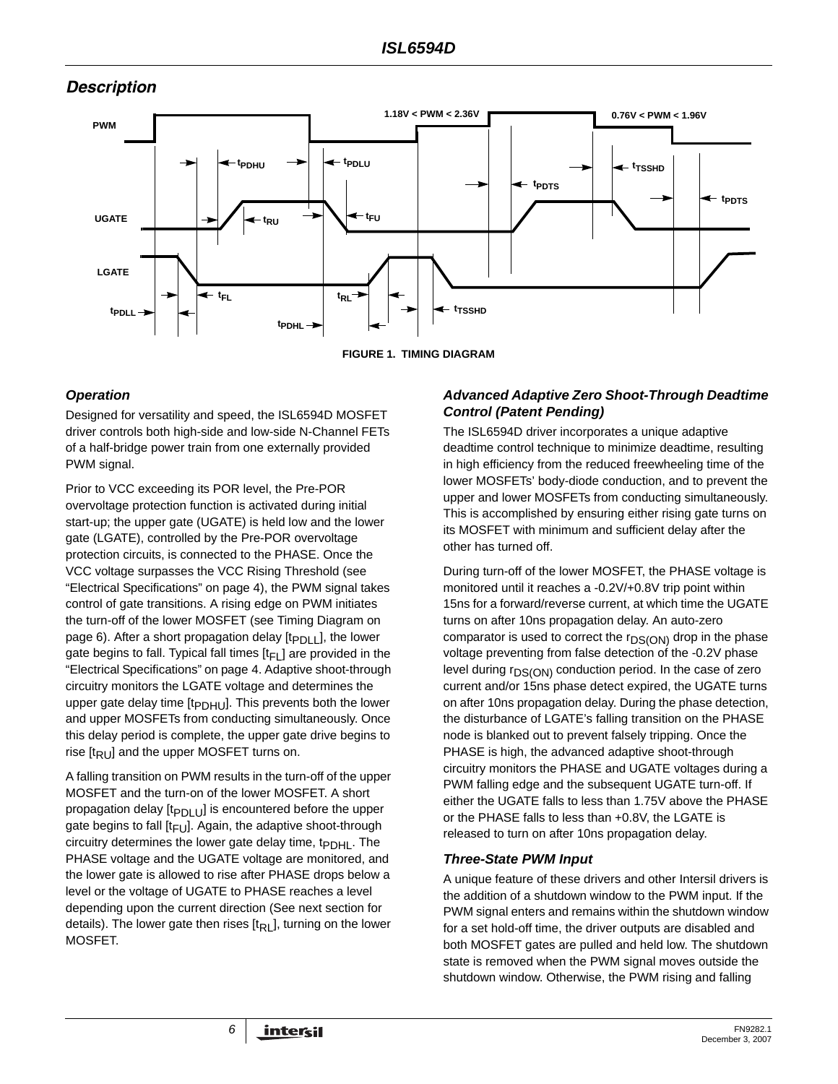# *Description*





### <span id="page-5-0"></span>*Operation*

Designed for versatility and speed, the ISL6594D MOSFET driver controls both high-side and low-side N-Channel FETs of a half-bridge power train from one externally provided PWM signal.

Prior to VCC exceeding its POR level, the Pre-POR overvoltage protection function is activated during initial start-up; the upper gate (UGATE) is held low and the lower gate (LGATE), controlled by the Pre-POR overvoltage protection circuits, is connected to the PHASE. Once the VCC voltage surpasses the VCC Rising Threshold (see "Electrical Specifications" on [page 4](#page-3-3)), the PWM signal takes control of gate transitions. A rising edge on PWM initiates the turn-off of the lower MOSFET (see Timing Diagram on [page 6](#page-5-0)). After a short propagation delay  $[t_{PDL}]$ , the lower gate begins to fall. Typical fall times  $[t_{\text{FL}}]$  are provided in the "Electrical Specifications" on [page 4.](#page-3-3) Adaptive shoot-through circuitry monitors the LGATE voltage and determines the upper gate delay time  $[t_{\text{PDHU}}]$ . This prevents both the lower and upper MOSFETs from conducting simultaneously. Once this delay period is complete, the upper gate drive begins to rise  $[t_{RU}]$  and the upper MOSFET turns on.

A falling transition on PWM results in the turn-off of the upper MOSFET and the turn-on of the lower MOSFET. A short propagation delay  $[t_{PDLU}]$  is encountered before the upper gate begins to fall  $[t_{\text{FU}}]$ . Again, the adaptive shoot-through circuitry determines the lower gate delay time, t<sub>PDHL</sub>. The PHASE voltage and the UGATE voltage are monitored, and the lower gate is allowed to rise after PHASE drops below a level or the voltage of UGATE to PHASE reaches a level depending upon the current direction (See next section for details). The lower gate then rises  $[t<sub>RL</sub>]$ , turning on the lower MOSFET.

#### *Advanced Adaptive Zero Shoot-Through Deadtime Control (Patent Pending)*

The ISL6594D driver incorporates a unique adaptive deadtime control technique to minimize deadtime, resulting in high efficiency from the reduced freewheeling time of the lower MOSFETs' body-diode conduction, and to prevent the upper and lower MOSFETs from conducting simultaneously. This is accomplished by ensuring either rising gate turns on its MOSFET with minimum and sufficient delay after the other has turned off.

During turn-off of the lower MOSFET, the PHASE voltage is monitored until it reaches a -0.2V/+0.8V trip point within 15ns for a forward/reverse current, at which time the UGATE turns on after 10ns propagation delay. An auto-zero comparator is used to correct the  $r_{DS(ON)}$  drop in the phase voltage preventing from false detection of the -0.2V phase level during  $r_{DS(ON)}$  conduction period. In the case of zero current and/or 15ns phase detect expired, the UGATE turns on after 10ns propagation delay. During the phase detection, the disturbance of LGATE's falling transition on the PHASE node is blanked out to prevent falsely tripping. Once the PHASE is high, the advanced adaptive shoot-through circuitry monitors the PHASE and UGATE voltages during a PWM falling edge and the subsequent UGATE turn-off. If either the UGATE falls to less than 1.75V above the PHASE or the PHASE falls to less than +0.8V, the LGATE is released to turn on after 10ns propagation delay.

### <span id="page-5-1"></span>*Three-State PWM Input*

A unique feature of these drivers and other Intersil drivers is the addition of a shutdown window to the PWM input. If the PWM signal enters and remains within the shutdown window for a set hold-off time, the driver outputs are disabled and both MOSFET gates are pulled and held low. The shutdown state is removed when the PWM signal moves outside the shutdown window. Otherwise, the PWM rising and falling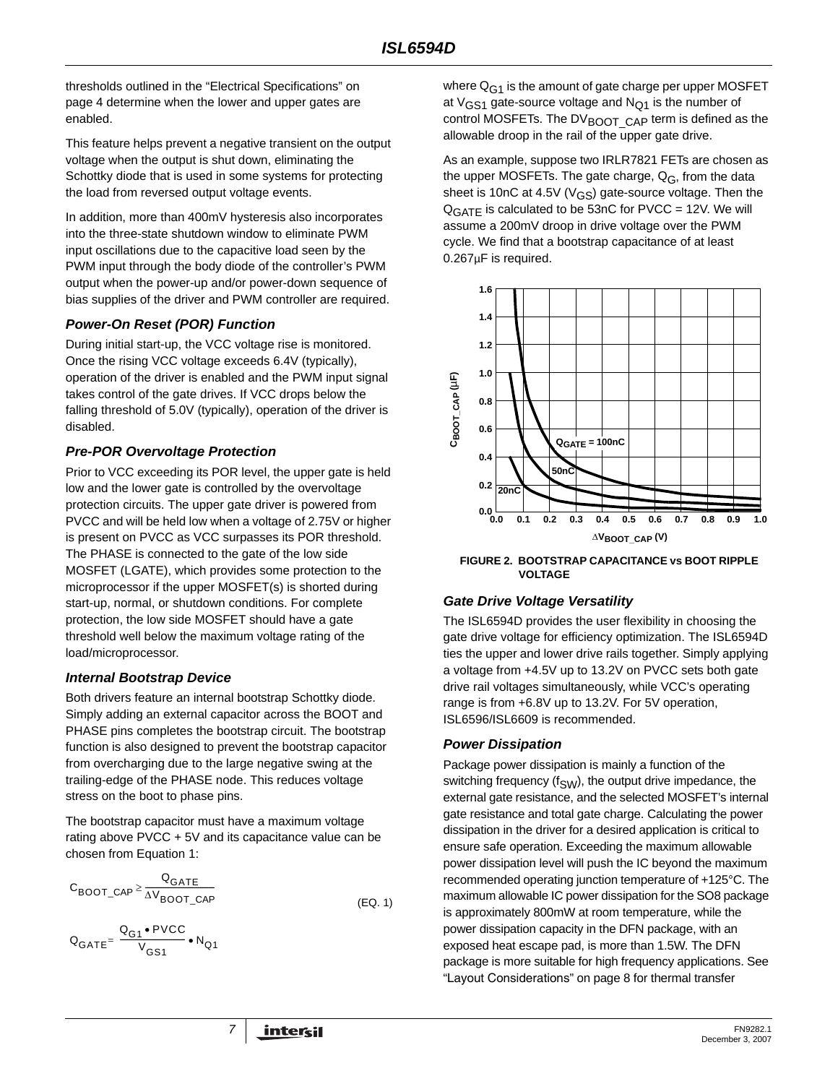thresholds outlined in the "Electrical Specifications" on [page 4](#page-3-3) determine when the lower and upper gates are enabled.

This feature helps prevent a negative transient on the output voltage when the output is shut down, eliminating the Schottky diode that is used in some systems for protecting the load from reversed output voltage events.

In addition, more than 400mV hysteresis also incorporates into the three-state shutdown window to eliminate PWM input oscillations due to the capacitive load seen by the PWM input through the body diode of the controller's PWM output when the power-up and/or power-down sequence of bias supplies of the driver and PWM controller are required.

#### *Power-On Reset (POR) Function*

During initial start-up, the VCC voltage rise is monitored. Once the rising VCC voltage exceeds 6.4V (typically), operation of the driver is enabled and the PWM input signal takes control of the gate drives. If VCC drops below the falling threshold of 5.0V (typically), operation of the driver is disabled.

#### *Pre-POR Overvoltage Protection*

Prior to VCC exceeding its POR level, the upper gate is held low and the lower gate is controlled by the overvoltage protection circuits. The upper gate driver is powered from PVCC and will be held low when a voltage of 2.75V or higher is present on PVCC as VCC surpasses its POR threshold. The PHASE is connected to the gate of the low side MOSFET (LGATE), which provides some protection to the microprocessor if the upper MOSFET(s) is shorted during start-up, normal, or shutdown conditions. For complete protection, the low side MOSFET should have a gate threshold well below the maximum voltage rating of the load/microprocessor.

### <span id="page-6-0"></span>*Internal Bootstrap Device*

Both drivers feature an internal bootstrap Schottky diode. Simply adding an external capacitor across the BOOT and PHASE pins completes the bootstrap circuit. The bootstrap function is also designed to prevent the bootstrap capacitor from overcharging due to the large negative swing at the trailing-edge of the PHASE node. This reduces voltage stress on the boot to phase pins.

The bootstrap capacitor must have a maximum voltage rating above PVCC + 5V and its capacitance value can be chosen from Equation [1:](#page-6-1)

$$
C_{\text{BOOT\_CAP}} \ge \frac{Q_{\text{GATE}}}{\Delta V_{\text{BOOT\_CAP}}}
$$
 (EQ. 1)

$$
\mathsf{Q}_{\mathsf{GATE}} = \frac{\mathsf{Q}_{\mathsf{G1}} \bullet \mathsf{PVCC}}{\mathsf{V}_{\mathsf{GS1}}} \bullet \mathsf{N}_{\mathsf{Q1}}
$$

where  $Q_{G1}$  is the amount of gate charge per upper MOSFET at  $V_{GS1}$  gate-source voltage and  $N_{Q1}$  is the number of control MOSFETs. The  $DV_{\text{BOOT}}$  CAP term is defined as the allowable droop in the rail of the upper gate drive.

As an example, suppose two IRLR7821 FETs are chosen as the upper MOSFETs. The gate charge,  $Q_G$ , from the data sheet is 10nC at 4.5V ( $V$ <sub>GS</sub>) gate-source voltage. Then the  $Q<sub>GATE</sub>$  is calculated to be 53nC for PVCC = 12V. We will assume a 200mV droop in drive voltage over the PWM cycle. We find that a bootstrap capacitance of at least 0.267µF is required.



**FIGURE 2. BOOTSTRAP CAPACITANCE vs BOOT RIPPLE VOLTAGE**

### *Gate Drive Voltage Versatility*

The ISL6594D provides the user flexibility in choosing the gate drive voltage for efficiency optimization. The ISL6594D ties the upper and lower drive rails together. Simply applying a voltage from +4.5V up to 13.2V on PVCC sets both gate drive rail voltages simultaneously, while VCC's operating range is from +6.8V up to 13.2V. For 5V operation, ISL6596/ISL6609 is recommended.

#### *Power Dissipation*

<span id="page-6-1"></span>Package power dissipation is mainly a function of the switching frequency ( $f_{SW}$ ), the output drive impedance, the external gate resistance, and the selected MOSFET's internal gate resistance and total gate charge. Calculating the power dissipation in the driver for a desired application is critical to ensure safe operation. Exceeding the maximum allowable power dissipation level will push the IC beyond the maximum recommended operating junction temperature of +125°C. The maximum allowable IC power dissipation for the SO8 package is approximately 800mW at room temperature, while the power dissipation capacity in the DFN package, with an exposed heat escape pad, is more than 1.5W. The DFN package is more suitable for high frequency applications. See "[Layout Considerations](#page-7-0)" on page 8 for thermal transfer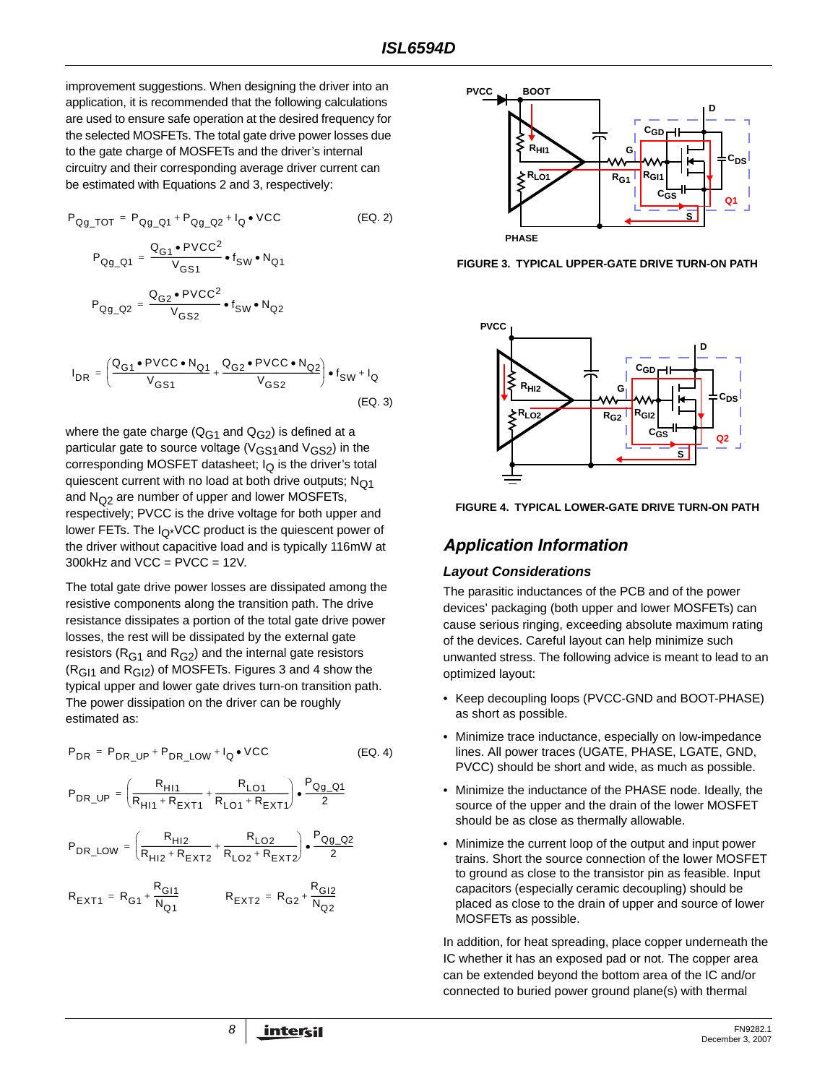improvement suggestions. When designing the driver into an application, it is recommended that the following calculations are used to ensure safe operation at the desired frequency for the selected MOSFETs. The total gate drive power losses due to the gate charge of MOSFETs and the driver's internal circuitry and their corresponding average driver current can be estimated with Equations 2 and 3, respectively:

$$
P_{Qg\_TOT} = P_{Qg\_Q1} + P_{Qg\_Q2} + I_Q \cdot \text{VCC}
$$
 (EQ. 2)  
\n
$$
P_{Qg\_Q1} = \frac{Q_{G1} \cdot \text{PVCC}^2}{V_{GS1}} \cdot f_{SW} \cdot N_{Q1}
$$
  
\n
$$
P_{Qg\_Q2} = \frac{Q_{G2} \cdot \text{PVCC}^2}{V_{GS2}} \cdot f_{SW} \cdot N_{Q2}
$$
  
\n
$$
I_{DR} = \left(\frac{Q_{G1} \cdot \text{PVCC} \cdot N_{Q1}}{V_{GS1}} + \frac{Q_{G2} \cdot \text{PVCC} \cdot N_{Q2}}{V_{GS2}}\right) \cdot f_{SW} + I_Q
$$
  
\n(EQ. 3)

where the gate charge ( $Q_{G1}$  and  $Q_{G2}$ ) is defined at a particular gate to source voltage ( $V_{GS1}$ and  $V_{GS2}$ ) in the corresponding MOSFET datasheet;  $I<sub>O</sub>$  is the driver's total quiescent current with no load at both drive outputs;  $N<sub>Q1</sub>$ and  $N<sub>O2</sub>$  are number of upper and lower MOSFETs, respectively; PVCC is the drive voltage for both upper and lower FETs. The  $I_{\Omega^*}$ VCC product is the quiescent power of the driver without capacitive load and is typically 116mW at  $300k$ Hz and VCC = PVCC = 12V.

The total gate drive power losses are dissipated among the resistive components along the transition path. The drive resistance dissipates a portion of the total gate drive power losses, the rest will be dissipated by the external gate resistors ( $R<sub>G1</sub>$  and  $R<sub>G2</sub>$ ) and the internal gate resistors  $(R<sub>G11</sub>$  and  $R<sub>G12</sub>$ ) of MOSFETs. Figures 3 and 4 show the typical upper and lower gate drives turn-on transition path. The power dissipation on the driver can be roughly estimated as:

$$
P_{DR} = P_{DR\_UP} + P_{DR\_LOW} + I_Q \bullet VCC
$$
 (EQ. 4)

$$
P_{DR\_UP} = \left(\frac{R_{H11}}{R_{H11} + R_{EXT1}} + \frac{R_{LO1}}{R_{LO1} + R_{EXT1}}\right) \cdot \frac{P_{Qg\_Q1}}{2}
$$

$$
\text{P}_{\text{DR\_LOW}} = \left(\frac{\text{R}_{\text{H12}}}{\text{R}_{\text{H12}}+\text{R}_{\text{EXT2}}}+\frac{\text{R}_{\text{LO2}}}{\text{R}_{\text{LO2}}+\text{R}_{\text{EXT2}}}\right)\bullet\frac{\text{P}_{\text{Qg\_Q2}}}{2}
$$

$$
R_{\text{EXT}1} = R_{\text{G}1} + \frac{R_{\text{G}11}}{N_{\text{Q}1}} \qquad \qquad R_{\text{EXT}2} = R_{\text{G}2} + \frac{R_{\text{G}12}}{N_{\text{Q}2}}
$$



**FIGURE 3. TYPICAL UPPER-GATE DRIVE TURN-ON PATH**





# *Application Information*

#### <span id="page-7-0"></span>*Layout Considerations*

The parasitic inductances of the PCB and of the power devices' packaging (both upper and lower MOSFETs) can cause serious ringing, exceeding absolute maximum rating of the devices. Careful layout can help minimize such unwanted stress. The following advice is meant to lead to an optimized layout:

- Keep decoupling loops (PVCC-GND and BOOT-PHASE) as short as possible.
- Minimize trace inductance, especially on low-impedance lines. All power traces (UGATE, PHASE, LGATE, GND, PVCC) should be short and wide, as much as possible.
- Minimize the inductance of the PHASE node. Ideally, the source of the upper and the drain of the lower MOSFET should be as close as thermally allowable.
- Minimize the current loop of the output and input power trains. Short the source connection of the lower MOSFET to ground as close to the transistor pin as feasible. Input capacitors (especially ceramic decoupling) should be placed as close to the drain of upper and source of lower MOSFETs as possible.

In addition, for heat spreading, place copper underneath the IC whether it has an exposed pad or not. The copper area can be extended beyond the bottom area of the IC and/or connected to buried power ground plane(s) with thermal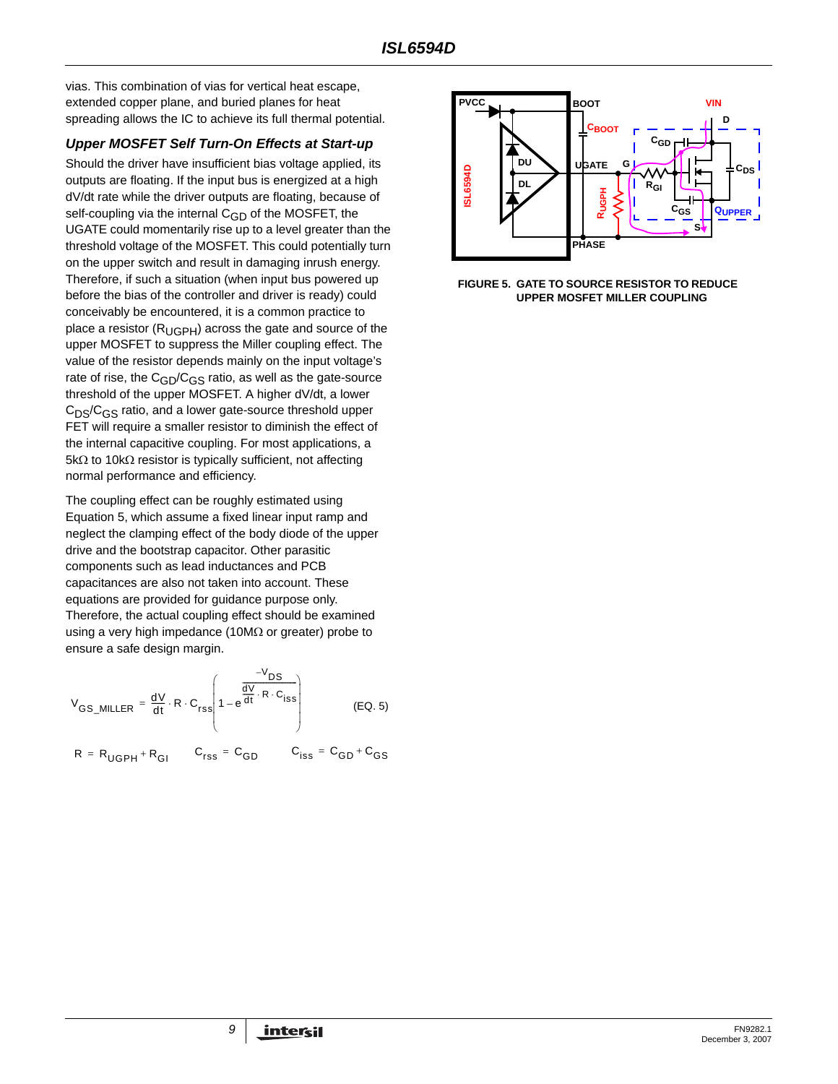vias. This combination of vias for vertical heat escape, extended copper plane, and buried planes for heat spreading allows the IC to achieve its full thermal potential.

## *Upper MOSFET Self Turn-On Effects at Start-up*

Should the driver have insufficient bias voltage applied, its outputs are floating. If the input bus is energized at a high dV/dt rate while the driver outputs are floating, because of self-coupling via the internal  $C_{GD}$  of the MOSFET, the UGATE could momentarily rise up to a level greater than the threshold voltage of the MOSFET. This could potentially turn on the upper switch and result in damaging inrush energy. Therefore, if such a situation (when input bus powered up before the bias of the controller and driver is ready) could conceivably be encountered, it is a common practice to place a resistor  $(R_{\text{UGPH}})$  across the gate and source of the upper MOSFET to suppress the Miller coupling effect. The value of the resistor depends mainly on the input voltage's rate of rise, the  $C_{GD}/C_{GS}$  ratio, as well as the gate-source threshold of the upper MOSFET. A higher dV/dt, a lower  $C_{DS}/C_{GS}$  ratio, and a lower gate-source threshold upper FET will require a smaller resistor to diminish the effect of the internal capacitive coupling. For most applications, a 5kΩ to 10kΩ resistor is typically sufficient, not affecting normal performance and efficiency.

The coupling effect can be roughly estimated using Equation [5,](#page-8-0) which assume a fixed linear input ramp and neglect the clamping effect of the body diode of the upper drive and the bootstrap capacitor. Other parasitic components such as lead inductances and PCB capacitances are also not taken into account. These equations are provided for guidance purpose only. Therefore, the actual coupling effect should be examined using a very high impedance (10M $\Omega$  or greater) probe to ensure a safe design margin.

<span id="page-8-0"></span>
$$
V_{GS\_MILLER} = \frac{dV}{dt} \cdot R \cdot C_{rss} \left( 1 - e^{\frac{-V_{DS}}{dt} \cdot R \cdot C_{ISS}} \right)
$$
 (EQ. 5)

$$
R = R_{\mathsf{UGPH}} + R_{\mathsf{GI}} \qquad C_{\mathsf{rss}} = C_{\mathsf{GD}} \qquad C_{\mathsf{iss}} = C_{\mathsf{GD}} + C_{\mathsf{GS}}
$$



**FIGURE 5. GATE TO SOURCE RESISTOR TO REDUCE UPPER MOSFET MILLER COUPLING**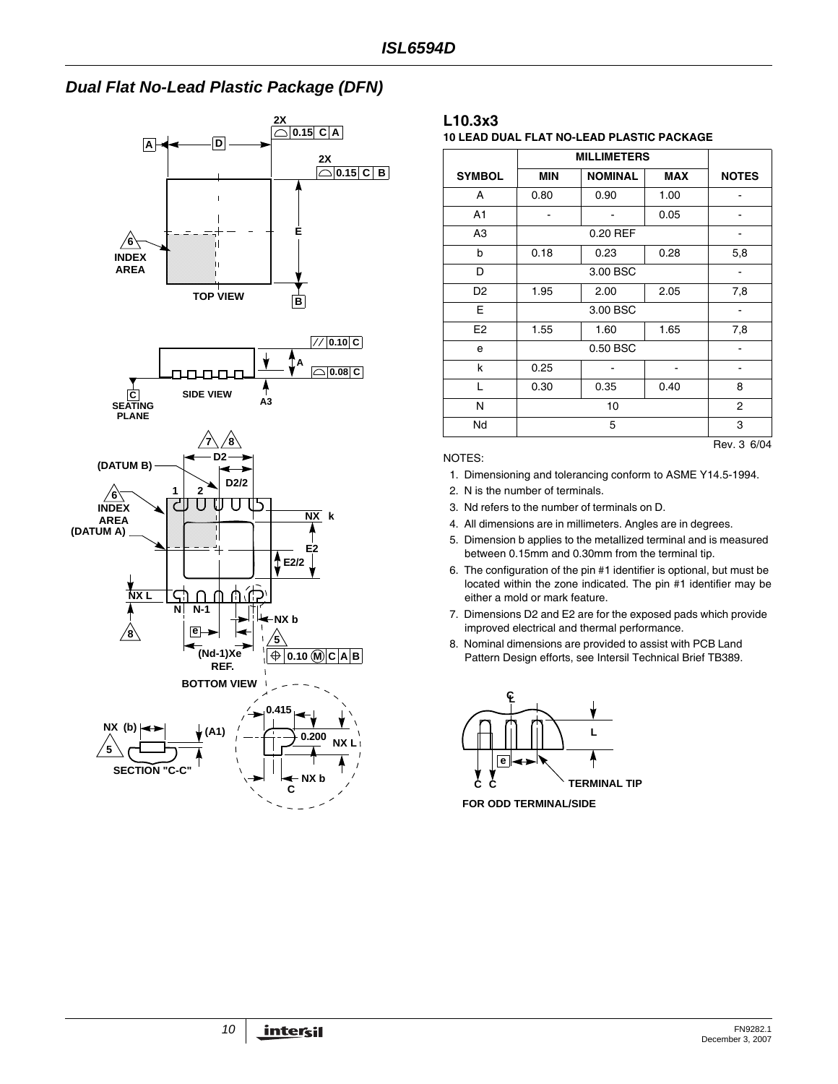# *Dual Flat No-Lead Plastic Package (DFN)*



### **L10.3x3**

**10 LEAD DUAL FLAT NO-LEAD PLASTIC PACKAGE**

| <b>SYMBOL</b>  | <b>MIN</b><br><b>NOMINAL</b><br><b>MAX</b> |                |      | <b>NOTES</b> |  |  |
|----------------|--------------------------------------------|----------------|------|--------------|--|--|
| A              | 0.80                                       | 0.90           | 1.00 |              |  |  |
| A <sub>1</sub> |                                            |                | 0.05 |              |  |  |
| A <sub>3</sub> |                                            | 0.20 REF       |      |              |  |  |
| b              | 0.18                                       | 0.23           | 0.28 | 5,8          |  |  |
| D              |                                            | 3.00 BSC       |      |              |  |  |
| D <sub>2</sub> | 1.95                                       | 2.00           | 2.05 | 7,8          |  |  |
| Е              |                                            | 3.00 BSC       |      |              |  |  |
| E <sub>2</sub> | 1.55                                       | 1.60<br>1.65   |      | 7,8          |  |  |
| е              |                                            | 0.50 BSC       |      |              |  |  |
| k              | 0.25                                       |                |      |              |  |  |
| L              | 0.30                                       | 0.35           | 0.40 | 8            |  |  |
| N              |                                            | $\overline{2}$ |      |              |  |  |
| Nd             |                                            | 3              |      |              |  |  |
|                |                                            |                |      | Rev. 3 6/04  |  |  |

NOTES:

1. Dimensioning and tolerancing conform to ASME Y14.5-1994.

2. N is the number of terminals.

- 3. Nd refers to the number of terminals on D.
- 4. All dimensions are in millimeters. Angles are in degrees.
- 5. Dimension b applies to the metallized terminal and is measured between 0.15mm and 0.30mm from the terminal tip.
- 6. The configuration of the pin #1 identifier is optional, but must be located within the zone indicated. The pin #1 identifier may be either a mold or mark feature.
- 7. Dimensions D2 and E2 are for the exposed pads which provide improved electrical and thermal performance.
- 8. Nominal dimensions are provided to assist with PCB Land Pattern Design efforts, see Intersil Technical Brief TB389.



**FOR ODD TERMINAL/SIDE**